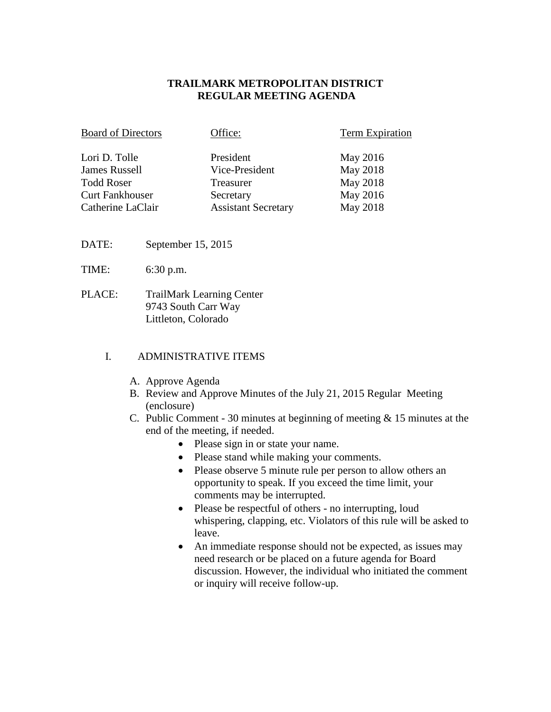### **TRAILMARK METROPOLITAN DISTRICT REGULAR MEETING AGENDA**

| <b>Board of Directors</b> | Office:                    | <b>Term Expiration</b> |
|---------------------------|----------------------------|------------------------|
| Lori D. Tolle             | President                  | May 2016               |
| <b>James Russell</b>      | Vice-President             | May 2018               |
| <b>Todd Roser</b>         | Treasurer                  | May 2018               |
| <b>Curt Fankhouser</b>    | Secretary                  | May 2016               |
| Catherine LaClair         | <b>Assistant Secretary</b> | May 2018               |

- DATE: September 15, 2015
- TIME: 6:30 p.m.
- PLACE: TrailMark Learning Center 9743 South Carr Way Littleton, Colorado

### I. ADMINISTRATIVE ITEMS

- A. Approve Agenda
- B. Review and Approve Minutes of the July 21, 2015 Regular Meeting (enclosure)
- C. Public Comment 30 minutes at beginning of meeting & 15 minutes at the end of the meeting, if needed.
	- Please sign in or state your name.
	- Please stand while making your comments.
	- Please observe 5 minute rule per person to allow others an opportunity to speak. If you exceed the time limit, your comments may be interrupted.
	- Please be respectful of others no interrupting, loud whispering, clapping, etc. Violators of this rule will be asked to leave.
	- An immediate response should not be expected, as issues may need research or be placed on a future agenda for Board discussion. However, the individual who initiated the comment or inquiry will receive follow-up.